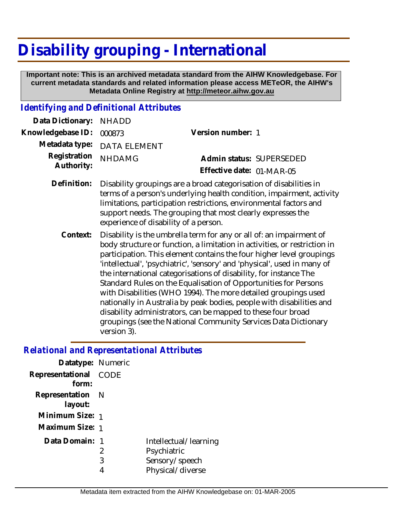# **Disability grouping - International**

 **Important note: This is an archived metadata standard from the AIHW Knowledgebase. For current metadata standards and related information please access METeOR, the AIHW's Metadata Online Registry at http://meteor.aihw.gov.au**

#### *Identifying and Definitional Attributes*

| Data Dictionary: NHADD            |                                                                                                                                                       |                           |                          |
|-----------------------------------|-------------------------------------------------------------------------------------------------------------------------------------------------------|---------------------------|--------------------------|
| Knowledgebase ID: 000873          |                                                                                                                                                       | Version number: 1         |                          |
|                                   | Metadata type: DATA ELEMENT                                                                                                                           |                           |                          |
| Registration NHDAMG<br>Authority: |                                                                                                                                                       |                           | Admin status: SUPERSEDED |
|                                   |                                                                                                                                                       | Effective date: 01-MAR-05 |                          |
|                                   | Definition: Disability groupings are a broad categorisation of disabilities in<br>terms of a person's underlying health condition, impairment, active |                           |                          |

- terms of a person's underlying health condition, impairment, activity limitations, participation restrictions, environmental factors and support needs. The grouping that most clearly expresses the experience of disability of a person.
	- Disability is the umbrella term for any or all of: an impairment of body structure or function, a limitation in activities, or restriction in participation. This element contains the four higher level groupings 'intellectual', 'psychiatric', 'sensory' and 'physical', used in many of the international categorisations of disability, for instance The Standard Rules on the Equalisation of Opportunities for Persons with Disabilities (WHO 1994). The more detailed groupings used nationally in Australia by peak bodies, people with disabilities and disability administrators, can be mapped to these four broad groupings (see the National Community Services Data Dictionary version 3). **Context:**

#### *Relational and Representational Attributes*

| Datatype: Numeric |      |                       |
|-------------------|------|-----------------------|
| Representational  | CODE |                       |
| form:             |      |                       |
| Representation N  |      |                       |
| layout:           |      |                       |
| Minimum Size: 1   |      |                       |
| Maximum Size: 1   |      |                       |
| Data Domain:      |      | Intellectual/learning |
|                   | 2    | Psychiatric           |
|                   | 3    | Sensory/speech        |
|                   | 4    | Physical/diverse      |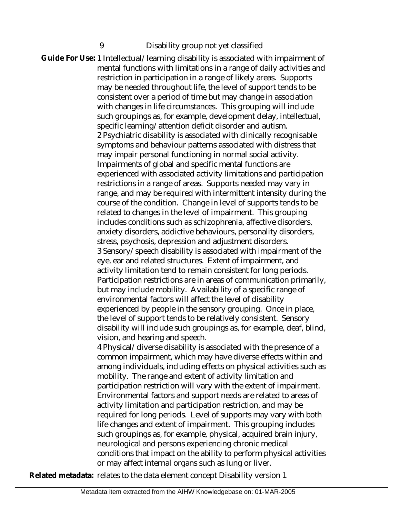### 9 Disability group not yet classified

Guide For Use: 1 Intellectual/learning disability is associated with impairment of mental functions with limitations in a range of daily activities and restriction in participation in a range of likely areas. Supports may be needed throughout life, the level of support tends to be consistent over a period of time but may change in association with changes in life circumstances. This grouping will include such groupings as, for example, development delay, intellectual, specific learning/attention deficit disorder and autism. 2 Psychiatric disability is associated with clinically recognisable symptoms and behaviour patterns associated with distress that may impair personal functioning in normal social activity. Impairments of global and specific mental functions are experienced with associated activity limitations and participation restrictions in a range of areas. Supports needed may vary in range, and may be required with intermittent intensity during the course of the condition. Change in level of supports tends to be related to changes in the level of impairment. This grouping includes conditions such as schizophrenia, affective disorders, anxiety disorders, addictive behaviours, personality disorders, stress, psychosis, depression and adjustment disorders. 3 Sensory/speech disability is associated with impairment of the eye, ear and related structures. Extent of impairment, and activity limitation tend to remain consistent for long periods. Participation restrictions are in areas of communication primarily, but may include mobility. Availability of a specific range of environmental factors will affect the level of disability experienced by people in the sensory grouping. Once in place, the level of support tends to be relatively consistent. Sensory disability will include such groupings as, for example, deaf, blind, vision, and hearing and speech. 4 Physical/diverse disability is associated with the presence of a

common impairment, which may have diverse effects within and among individuals, including effects on physical activities such as mobility. The range and extent of activity limitation and participation restriction will vary with the extent of impairment. Environmental factors and support needs are related to areas of activity limitation and participation restriction, and may be required for long periods. Level of supports may vary with both life changes and extent of impairment. This grouping includes such groupings as, for example, physical, acquired brain injury, neurological and persons experiencing chronic medical conditions that impact on the ability to perform physical activities or may affect internal organs such as lung or liver.

**Related metadata:** relates to the data element concept Disability version 1